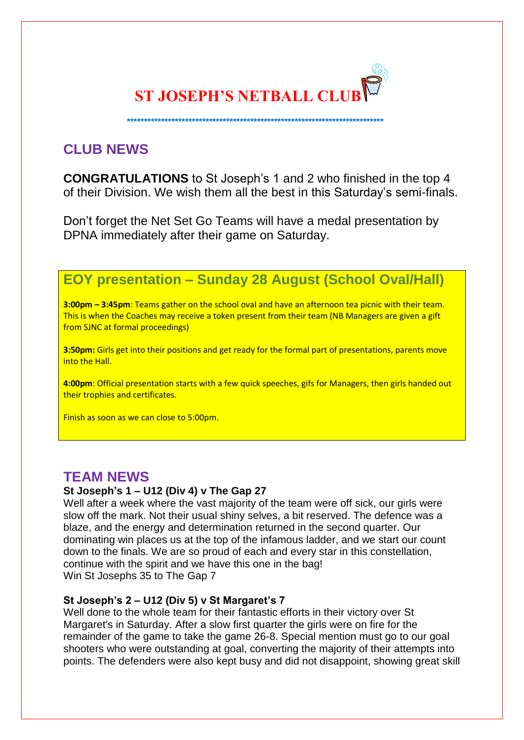

 **\*\*\*\*\*\*\*\*\*\*\*\*\*\*\*\*\*\*\*\*\*\*\*\*\*\*\*\*\*\*\*\*\*\*\*\*\*\*\*\*\*\*\*\*\*\*\*\*\*\*\*\*\*\*\*\*\*\*\*\*\*\*\*\*\*\*\*\*\*\*\*\*\*\*\***

# **CLUB NEWS**

**CONGRATULATIONS** to St Joseph's 1 and 2 who finished in the top 4 of their Division. We wish them all the best in this Saturday's semi-finals.

Don't forget the Net Set Go Teams will have a medal presentation by DPNA immediately after their game on Saturday.

# **EOY presentation – Sunday 28 August (School Oval/Hall)**

**3:00pm – 3:45pm**: Teams gather on the school oval and have an afternoon tea picnic with their team. This is when the Coaches may receive a token present from their team (NB Managers are given a gift from SJNC at formal proceedings)

**3:50pm:** Girls get into their positions and get ready for the formal part of presentations, parents move into the Hall.

**4:00pm**: Official presentation starts with a few quick speeches, gifs for Managers, then girls handed out their trophies and certificates.

Finish as soon as we can close to 5:00pm.

## **TEAM NEWS**

### **St Joseph's 1 – U12 (Div 4) v The Gap 27**

Well after a week where the vast majority of the team were off sick, our girls were slow off the mark. Not their usual shiny selves, a bit reserved. The defence was a blaze, and the energy and determination returned in the second quarter. Our dominating win places us at the top of the infamous ladder, and we start our count down to the finals. We are so proud of each and every star in this constellation, continue with the spirit and we have this one in the bag! Win St Josephs 35 to The Gap 7

### **St Joseph's 2 – U12 (Div 5) v St Margaret's 7**

Well done to the whole team for their fantastic efforts in their victory over St Margaret's in Saturday. After a slow first quarter the girls were on fire for the remainder of the game to take the game 26-8. Special mention must go to our goal shooters who were outstanding at goal, converting the majority of their attempts into points. The defenders were also kept busy and did not disappoint, showing great skill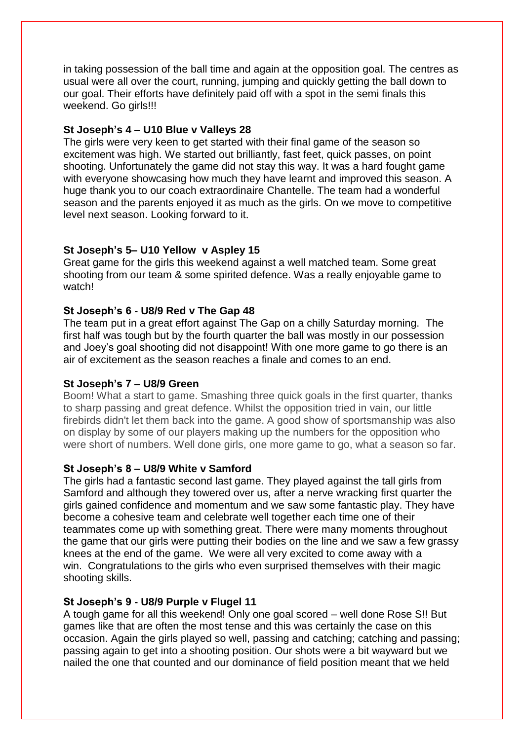in taking possession of the ball time and again at the opposition goal. The centres as usual were all over the court, running, jumping and quickly getting the ball down to our goal. Their efforts have definitely paid off with a spot in the semi finals this weekend. Go girls!!!

#### **St Joseph's 4 – U10 Blue v Valleys 28**

The girls were very keen to get started with their final game of the season so excitement was high. We started out brilliantly, fast feet, quick passes, on point shooting. Unfortunately the game did not stay this way. It was a hard fought game with everyone showcasing how much they have learnt and improved this season. A huge thank you to our coach extraordinaire Chantelle. The team had a wonderful season and the parents enjoyed it as much as the girls. On we move to competitive level next season. Looking forward to it.

#### **St Joseph's 5– U10 Yellow v Aspley 15**

Great game for the girls this weekend against a well matched team. Some great shooting from our team & some spirited defence. Was a really enjoyable game to watch!

#### **St Joseph's 6 - U8/9 Red v The Gap 48**

The team put in a great effort against The Gap on a chilly Saturday morning. The first half was tough but by the fourth quarter the ball was mostly in our possession and Joey's goal shooting did not disappoint! With one more game to go there is an air of excitement as the season reaches a finale and comes to an end.

#### **St Joseph's 7 – U8/9 Green**

Boom! What a start to game. Smashing three quick goals in the first quarter, thanks to sharp passing and great defence. Whilst the opposition tried in vain, our little firebirds didn't let them back into the game. A good show of sportsmanship was also on display by some of our players making up the numbers for the opposition who were short of numbers. Well done girls, one more game to go, what a season so far.

#### **St Joseph's 8 – U8/9 White v Samford**

The girls had a fantastic second last game. They played against the tall girls from Samford and although they towered over us, after a nerve wracking first quarter the girls gained confidence and momentum and we saw some fantastic play. They have become a cohesive team and celebrate well together each time one of their teammates come up with something great. There were many moments throughout the game that our girls were putting their bodies on the line and we saw a few grassy knees at the end of the game. We were all very excited to come away with a win. Congratulations to the girls who even surprised themselves with their magic shooting skills.

#### **St Joseph's 9 - U8/9 Purple v Flugel 11**

A tough game for all this weekend! Only one goal scored – well done Rose S!! But games like that are often the most tense and this was certainly the case on this occasion. Again the girls played so well, passing and catching; catching and passing; passing again to get into a shooting position. Our shots were a bit wayward but we nailed the one that counted and our dominance of field position meant that we held